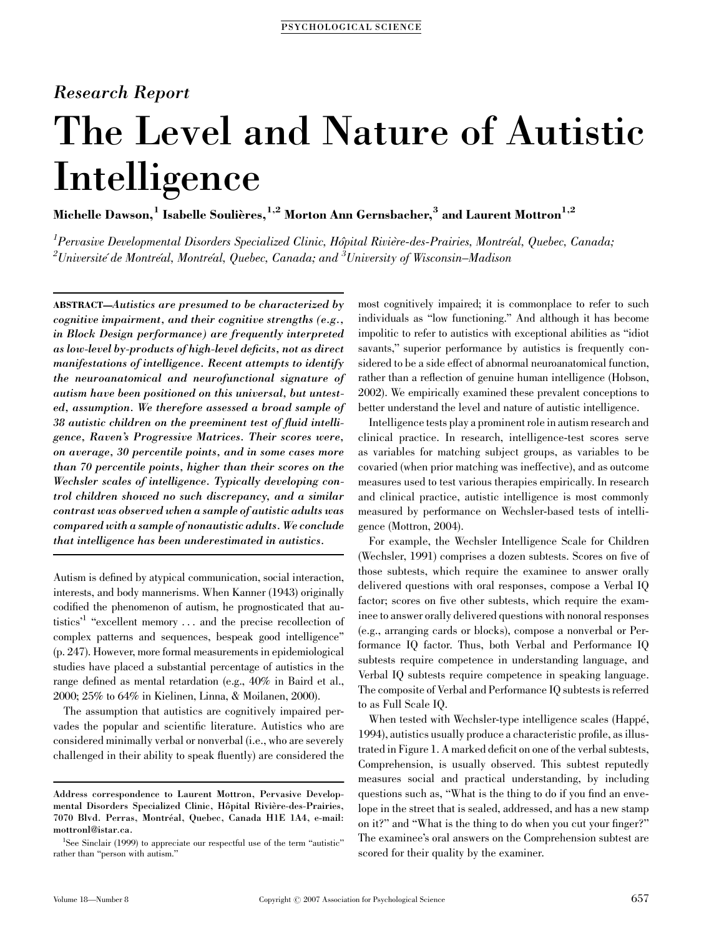# Research Report

# The Level and Nature of Autistic Intelligence

Michelle Dawson,<sup>1</sup> Isabelle Soulières,<sup>1,2</sup> Morton Ann Gernsbacher,<sup>3</sup> and Laurent Mottron<sup>1,2</sup>

 $^1$ Pervasive Developmental Disorders Specialized Clinic, Hôpital Rivière-des-Prairies, Montréal, Quebec, Canada;  $^2$ Université´ de Montréal, Montréal, Quebec, Canada; and  $^3$ University of Wisconsin–Madison

ABSTRACT—Autistics are presumed to be characterized by cognitive impairment, and their cognitive strengths (e.g., in Block Design performance) are frequently interpreted as low-level by-products of high-level deficits, not as direct manifestations of intelligence. Recent attempts to identify the neuroanatomical and neurofunctional signature of autism have been positioned on this universal, but untested, assumption. We therefore assessed a broad sample of 38 autistic children on the preeminent test of fluid intelligence, Raven's Progressive Matrices. Their scores were, on average, 30 percentile points, and in some cases more than 70 percentile points, higher than their scores on the Wechsler scales of intelligence. Typically developing control children showed no such discrepancy, and a similar contrast was observed when a sample of autistic adults was compared with a sample of nonautistic adults. We conclude that intelligence has been underestimated in autistics.

Autism is defined by atypical communication, social interaction, interests, and body mannerisms. When Kanner (1943) originally codified the phenomenon of autism, he prognosticated that autistics'1 ''excellent memory . . . and the precise recollection of complex patterns and sequences, bespeak good intelligence'' (p. 247). However, more formal measurements in epidemiological studies have placed a substantial percentage of autistics in the range defined as mental retardation (e.g., 40% in Baird et al., 2000; 25% to 64% in Kielinen, Linna, & Moilanen, 2000).

The assumption that autistics are cognitively impaired pervades the popular and scientific literature. Autistics who are considered minimally verbal or nonverbal (i.e., who are severely challenged in their ability to speak fluently) are considered the

most cognitively impaired; it is commonplace to refer to such individuals as ''low functioning.'' And although it has become impolitic to refer to autistics with exceptional abilities as ''idiot savants," superior performance by autistics is frequently considered to be a side effect of abnormal neuroanatomical function, rather than a reflection of genuine human intelligence (Hobson, 2002). We empirically examined these prevalent conceptions to better understand the level and nature of autistic intelligence.

Intelligence tests play a prominent role in autism research and clinical practice. In research, intelligence-test scores serve as variables for matching subject groups, as variables to be covaried (when prior matching was ineffective), and as outcome measures used to test various therapies empirically. In research and clinical practice, autistic intelligence is most commonly measured by performance on Wechsler-based tests of intelligence (Mottron, 2004).

For example, the Wechsler Intelligence Scale for Children (Wechsler, 1991) comprises a dozen subtests. Scores on five of those subtests, which require the examinee to answer orally delivered questions with oral responses, compose a Verbal IQ factor; scores on five other subtests, which require the examinee to answer orally delivered questions with nonoral responses (e.g., arranging cards or blocks), compose a nonverbal or Performance IQ factor. Thus, both Verbal and Performance IQ subtests require competence in understanding language, and Verbal IQ subtests require competence in speaking language. The composite of Verbal and Performance IQ subtests is referred to as Full Scale IQ.

When tested with Wechsler-type intelligence scales (Happé, 1994), autistics usually produce a characteristic profile, as illustrated in Figure 1. A marked deficit on one of the verbal subtests, Comprehension, is usually observed. This subtest reputedly measures social and practical understanding, by including questions such as, ''What is the thing to do if you find an envelope in the street that is sealed, addressed, and has a new stamp on it?'' and ''What is the thing to do when you cut your finger?'' The examinee's oral answers on the Comprehension subtest are scored for their quality by the examiner.

Address correspondence to Laurent Mottron, Pervasive Developmental Disorders Specialized Clinic, Hôpital Rivière-des-Prairies, 7070 Blvd. Perras, Montréal, Quebec, Canada H1E 1A4, e-mail: mottronl@istar.ca.

<sup>&</sup>lt;sup>1</sup>See Sinclair (1999) to appreciate our respectful use of the term "autistic" rather than ''person with autism.''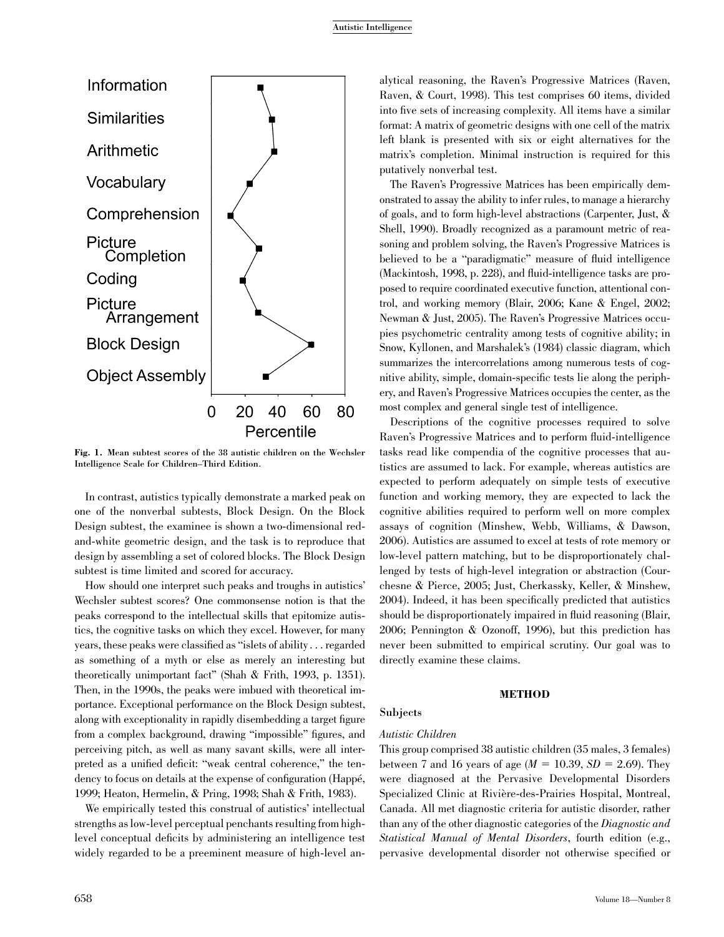

Fig. 1. Mean subtest scores of the 38 autistic children on the Wechsler Intelligence Scale for Children–Third Edition.

In contrast, autistics typically demonstrate a marked peak on one of the nonverbal subtests, Block Design. On the Block Design subtest, the examinee is shown a two-dimensional redand-white geometric design, and the task is to reproduce that design by assembling a set of colored blocks. The Block Design subtest is time limited and scored for accuracy.

How should one interpret such peaks and troughs in autistics' Wechsler subtest scores? One commonsense notion is that the peaks correspond to the intellectual skills that epitomize autistics, the cognitive tasks on which they excel. However, for many years, these peaks were classified as ''islets of ability. . . regarded as something of a myth or else as merely an interesting but theoretically unimportant fact'' (Shah & Frith, 1993, p. 1351). Then, in the 1990s, the peaks were imbued with theoretical importance. Exceptional performance on the Block Design subtest, along with exceptionality in rapidly disembedding a target figure from a complex background, drawing ''impossible'' figures, and perceiving pitch, as well as many savant skills, were all interpreted as a unified deficit: ''weak central coherence,'' the tendency to focus on details at the expense of configuration (Happé, 1999; Heaton, Hermelin, & Pring, 1998; Shah & Frith, 1983).

We empirically tested this construal of autistics' intellectual strengths as low-level perceptual penchants resulting from highlevel conceptual deficits by administering an intelligence test widely regarded to be a preeminent measure of high-level analytical reasoning, the Raven's Progressive Matrices (Raven, Raven, & Court, 1998). This test comprises 60 items, divided into five sets of increasing complexity. All items have a similar format: A matrix of geometric designs with one cell of the matrix left blank is presented with six or eight alternatives for the matrix's completion. Minimal instruction is required for this putatively nonverbal test.

The Raven's Progressive Matrices has been empirically demonstrated to assay the ability to infer rules, to manage a hierarchy of goals, and to form high-level abstractions (Carpenter, Just, & Shell, 1990). Broadly recognized as a paramount metric of reasoning and problem solving, the Raven's Progressive Matrices is believed to be a ''paradigmatic'' measure of fluid intelligence (Mackintosh, 1998, p. 228), and fluid-intelligence tasks are proposed to require coordinated executive function, attentional control, and working memory (Blair, 2006; Kane & Engel, 2002; Newman & Just, 2005). The Raven's Progressive Matrices occupies psychometric centrality among tests of cognitive ability; in Snow, Kyllonen, and Marshalek's (1984) classic diagram, which summarizes the intercorrelations among numerous tests of cognitive ability, simple, domain-specific tests lie along the periphery, and Raven's Progressive Matrices occupies the center, as the most complex and general single test of intelligence.

Descriptions of the cognitive processes required to solve Raven's Progressive Matrices and to perform fluid-intelligence tasks read like compendia of the cognitive processes that autistics are assumed to lack. For example, whereas autistics are expected to perform adequately on simple tests of executive function and working memory, they are expected to lack the cognitive abilities required to perform well on more complex assays of cognition (Minshew, Webb, Williams, & Dawson, 2006). Autistics are assumed to excel at tests of rote memory or low-level pattern matching, but to be disproportionately challenged by tests of high-level integration or abstraction (Courchesne & Pierce, 2005; Just, Cherkassky, Keller, & Minshew, 2004). Indeed, it has been specifically predicted that autistics should be disproportionately impaired in fluid reasoning (Blair, 2006; Pennington & Ozonoff, 1996), but this prediction has never been submitted to empirical scrutiny. Our goal was to directly examine these claims.

#### METHOD

# Subjects

# Autistic Children

This group comprised 38 autistic children (35 males, 3 females) between 7 and 16 years of age  $(M = 10.39, SD = 2.69)$ . They were diagnosed at the Pervasive Developmental Disorders Specialized Clinic at Rivière-des-Prairies Hospital, Montreal, Canada. All met diagnostic criteria for autistic disorder, rather than any of the other diagnostic categories of the Diagnostic and Statistical Manual of Mental Disorders, fourth edition (e.g., pervasive developmental disorder not otherwise specified or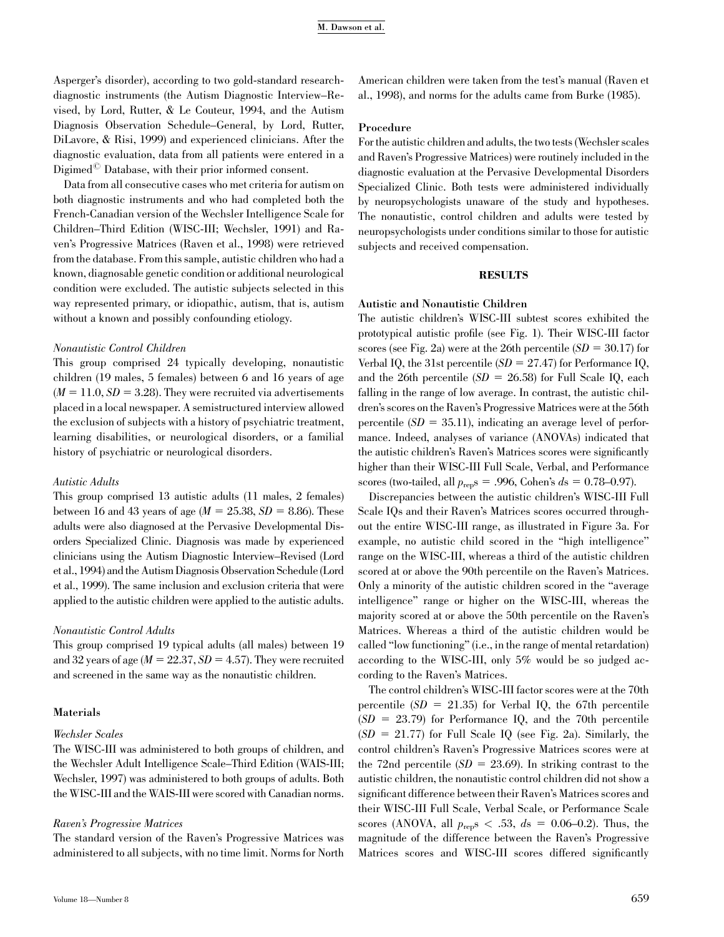Asperger's disorder), according to two gold-standard researchdiagnostic instruments (the Autism Diagnostic Interview–Revised, by Lord, Rutter, & Le Couteur, 1994, and the Autism Diagnosis Observation Schedule–General, by Lord, Rutter, DiLavore, & Risi, 1999) and experienced clinicians. After the diagnostic evaluation, data from all patients were entered in a Digimed<sup> $\heartsuit$ </sup> Database, with their prior informed consent.

Data from all consecutive cases who met criteria for autism on both diagnostic instruments and who had completed both the French-Canadian version of the Wechsler Intelligence Scale for Children–Third Edition (WISC-III; Wechsler, 1991) and Raven's Progressive Matrices (Raven et al., 1998) were retrieved from the database. From this sample, autistic children who had a known, diagnosable genetic condition or additional neurological condition were excluded. The autistic subjects selected in this way represented primary, or idiopathic, autism, that is, autism without a known and possibly confounding etiology.

#### Nonautistic Control Children

This group comprised 24 typically developing, nonautistic children (19 males, 5 females) between 6 and 16 years of age  $(M = 11.0, SD = 3.28)$ . They were recruited via advertisements placed in a local newspaper. A semistructured interview allowed the exclusion of subjects with a history of psychiatric treatment, learning disabilities, or neurological disorders, or a familial history of psychiatric or neurological disorders.

## Autistic Adults

This group comprised 13 autistic adults (11 males, 2 females) between 16 and 43 years of age  $(M = 25.38, SD = 8.86)$ . These adults were also diagnosed at the Pervasive Developmental Disorders Specialized Clinic. Diagnosis was made by experienced clinicians using the Autism Diagnostic Interview–Revised (Lord et al., 1994) and the Autism Diagnosis Observation Schedule (Lord et al., 1999). The same inclusion and exclusion criteria that were applied to the autistic children were applied to the autistic adults.

#### Nonautistic Control Adults

This group comprised 19 typical adults (all males) between 19 and 32 years of age  $(M = 22.37, SD = 4.57)$ . They were recruited and screened in the same way as the nonautistic children.

#### Materials

#### Wechsler Scales

The WISC-III was administered to both groups of children, and the Wechsler Adult Intelligence Scale–Third Edition (WAIS-III; Wechsler, 1997) was administered to both groups of adults. Both the WISC-III and the WAIS-III were scored with Canadian norms.

#### Raven's Progressive Matrices

The standard version of the Raven's Progressive Matrices was administered to all subjects, with no time limit. Norms for North

American children were taken from the test's manual (Raven et al., 1998), and norms for the adults came from Burke (1985).

#### Procedure

For the autistic children and adults, the two tests (Wechsler scales and Raven's Progressive Matrices) were routinely included in the diagnostic evaluation at the Pervasive Developmental Disorders Specialized Clinic. Both tests were administered individually by neuropsychologists unaware of the study and hypotheses. The nonautistic, control children and adults were tested by neuropsychologists under conditions similar to those for autistic subjects and received compensation.

#### RESULTS

#### Autistic and Nonautistic Children

The autistic children's WISC-III subtest scores exhibited the prototypical autistic profile (see Fig. 1). Their WISC-III factor scores (see Fig. 2a) were at the 26th percentile  $(SD = 30.17)$  for Verbal IQ, the 31st percentile  $(SD = 27.47)$  for Performance IQ, and the 26th percentile  $(SD = 26.58)$  for Full Scale IQ, each falling in the range of low average. In contrast, the autistic children's scores on the Raven's Progressive Matrices were at the 56th percentile  $(SD = 35.11)$ , indicating an average level of performance. Indeed, analyses of variance (ANOVAs) indicated that the autistic children's Raven's Matrices scores were significantly higher than their WISC-III Full Scale, Verbal, and Performance scores (two-tailed, all  $p_{\text{rep}}$ s = .996, Cohen's ds = 0.78–0.97).

Discrepancies between the autistic children's WISC-III Full Scale IQs and their Raven's Matrices scores occurred throughout the entire WISC-III range, as illustrated in Figure 3a. For example, no autistic child scored in the ''high intelligence'' range on the WISC-III, whereas a third of the autistic children scored at or above the 90th percentile on the Raven's Matrices. Only a minority of the autistic children scored in the ''average intelligence'' range or higher on the WISC-III, whereas the majority scored at or above the 50th percentile on the Raven's Matrices. Whereas a third of the autistic children would be called ''low functioning'' (i.e., in the range of mental retardation) according to the WISC-III, only 5% would be so judged according to the Raven's Matrices.

The control children's WISC-III factor scores were at the 70th percentile  $(SD = 21.35)$  for Verbal IQ, the 67th percentile  $(SD = 23.79)$  for Performance IQ, and the 70th percentile  $(SD = 21.77)$  for Full Scale IQ (see Fig. 2a). Similarly, the control children's Raven's Progressive Matrices scores were at the 72nd percentile  $(SD = 23.69)$ . In striking contrast to the autistic children, the nonautistic control children did not show a significant difference between their Raven's Matrices scores and their WISC-III Full Scale, Verbal Scale, or Performance Scale scores (ANOVA, all  $p_{\text{rep}}s < .53$ ,  $ds = 0.06{\text -}0.2$ ). Thus, the magnitude of the difference between the Raven's Progressive Matrices scores and WISC-III scores differed significantly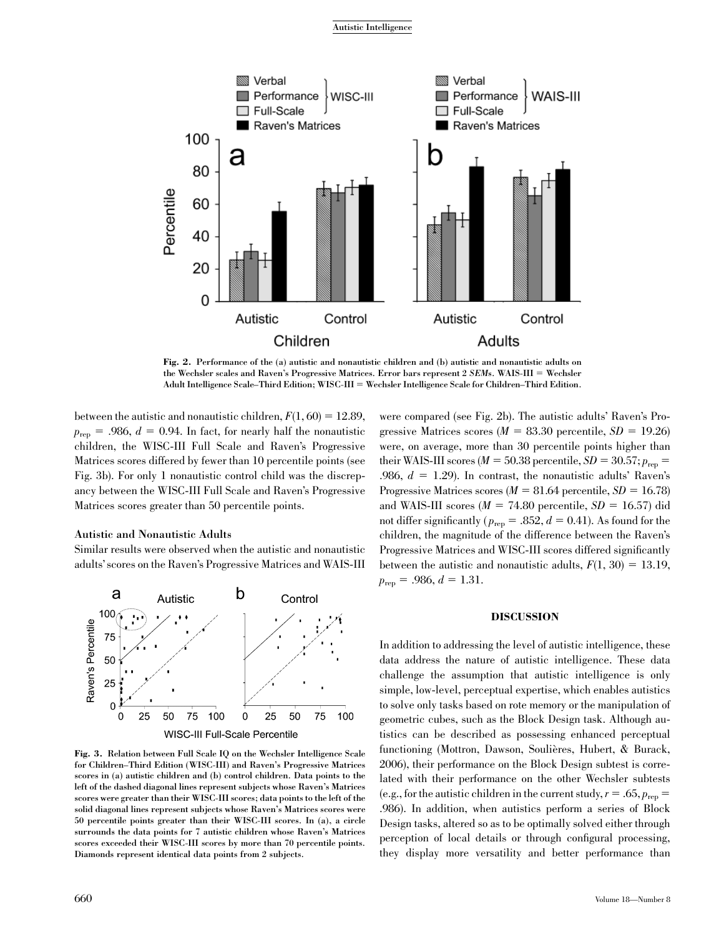Autistic Intelligence



Fig. 2. Performance of the (a) autistic and nonautistic children and (b) autistic and nonautistic adults on the Wechsler scales and Raven's Progressive Matrices. Error bars represent 2 SEMs. WAIS-III = Wechsler Adult Intelligence Scale–Third Edition; WISC-III = Wechsler Intelligence Scale for Children–Third Edition.

between the autistic and nonautistic children,  $F(1, 60) = 12.89$ ,  $p_{\text{ren}} = .986, d = 0.94$ . In fact, for nearly half the nonautistic children, the WISC-III Full Scale and Raven's Progressive Matrices scores differed by fewer than 10 percentile points (see Fig. 3b). For only 1 nonautistic control child was the discrepancy between the WISC-III Full Scale and Raven's Progressive Matrices scores greater than 50 percentile points.

# Autistic and Nonautistic Adults

Similar results were observed when the autistic and nonautistic adults' scores on the Raven's Progressive Matrices and WAIS-III



Fig. 3. Relation between Full Scale IQ on the Wechsler Intelligence Scale for Children–Third Edition (WISC-III) and Raven's Progressive Matrices scores in (a) autistic children and (b) control children. Data points to the left of the dashed diagonal lines represent subjects whose Raven's Matrices scores were greater than their WISC-III scores; data points to the left of the solid diagonal lines represent subjects whose Raven's Matrices scores were 50 percentile points greater than their WISC-III scores. In (a), a circle surrounds the data points for 7 autistic children whose Raven's Matrices scores exceeded their WISC-III scores by more than 70 percentile points. Diamonds represent identical data points from 2 subjects.

gressive Matrices scores ( $M = 83.30$  percentile,  $SD = 19.26$ ) were, on average, more than 30 percentile points higher than their WAIS-III scores ( $M = 50.38$  percentile,  $SD = 30.57$ ;  $p_{\text{rep}} =$ .986,  $d = 1.29$ ). In contrast, the nonautistic adults' Raven's Progressive Matrices scores ( $M = 81.64$  percentile,  $SD = 16.78$ ) and WAIS-III scores ( $M = 74.80$  percentile,  $SD = 16.57$ ) did not differ significantly ( $p_{\text{rep}} = .852$ ,  $d = 0.41$ ). As found for the children, the magnitude of the difference between the Raven's Progressive Matrices and WISC-III scores differed significantly between the autistic and nonautistic adults,  $F(1, 30) = 13.19$ ,  $p_{\text{rep}} = .986, d = 1.31.$ 

were compared (see Fig. 2b). The autistic adults' Raven's Pro-

# DISCUSSION

In addition to addressing the level of autistic intelligence, these data address the nature of autistic intelligence. These data challenge the assumption that autistic intelligence is only simple, low-level, perceptual expertise, which enables autistics to solve only tasks based on rote memory or the manipulation of geometric cubes, such as the Block Design task. Although autistics can be described as possessing enhanced perceptual functioning (Mottron, Dawson, Soulières, Hubert, & Burack, 2006), their performance on the Block Design subtest is correlated with their performance on the other Wechsler subtests (e.g., for the autistic children in the current study,  $r = .65$ ,  $p_{\text{rep}} =$ .986). In addition, when autistics perform a series of Block Design tasks, altered so as to be optimally solved either through perception of local details or through configural processing, they display more versatility and better performance than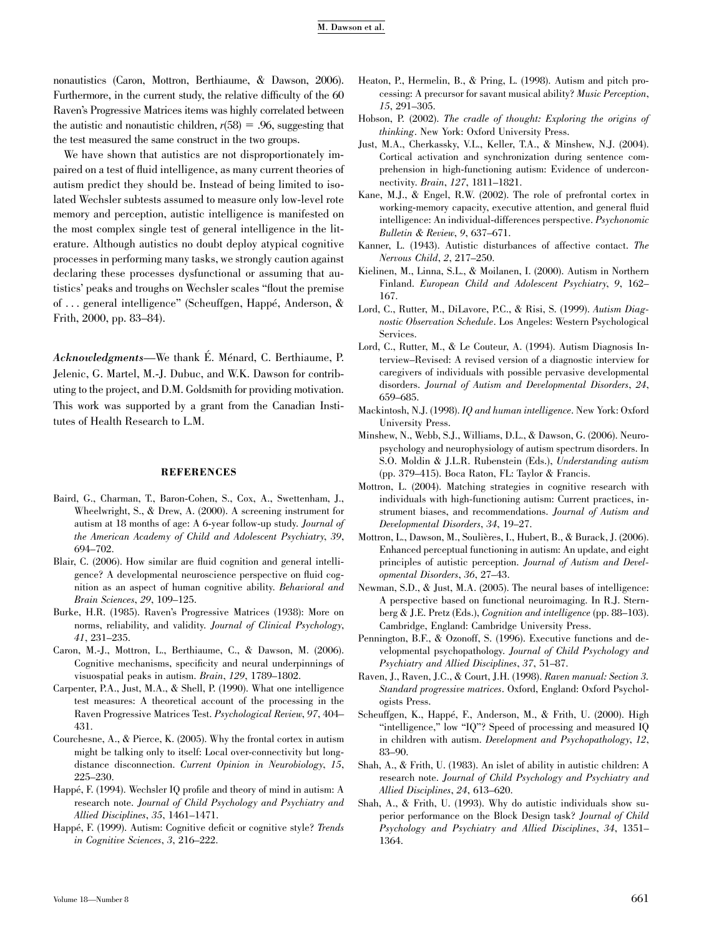#### M. Dawson et al.

nonautistics (Caron, Mottron, Berthiaume, & Dawson, 2006). Furthermore, in the current study, the relative difficulty of the 60 Raven's Progressive Matrices items was highly correlated between the autistic and nonautistic children,  $r(58) = .96$ , suggesting that the test measured the same construct in the two groups.

We have shown that autistics are not disproportionately impaired on a test of fluid intelligence, as many current theories of autism predict they should be. Instead of being limited to isolated Wechsler subtests assumed to measure only low-level rote memory and perception, autistic intelligence is manifested on the most complex single test of general intelligence in the literature. Although autistics no doubt deploy atypical cognitive processes in performing many tasks, we strongly caution against declaring these processes dysfunctional or assuming that autistics' peaks and troughs on Wechsler scales ''flout the premise of ... general intelligence" (Scheuffgen, Happé, Anderson, & Frith, 2000, pp. 83–84).

Acknowledgments—We thank É. Ménard, C. Berthiaume, P. Jelenic, G. Martel, M.-J. Dubuc, and W.K. Dawson for contributing to the project, and D.M. Goldsmith for providing motivation. This work was supported by a grant from the Canadian Institutes of Health Research to L.M.

#### REFERENCES

- Baird, G., Charman, T., Baron-Cohen, S., Cox, A., Swettenham, J., Wheelwright, S., & Drew, A. (2000). A screening instrument for autism at 18 months of age: A 6-year follow-up study. Journal of the American Academy of Child and Adolescent Psychiatry, 39, 694–702.
- Blair, C. (2006). How similar are fluid cognition and general intelligence? A developmental neuroscience perspective on fluid cognition as an aspect of human cognitive ability. Behavioral and Brain Sciences, 29, 109–125.
- Burke, H.R. (1985). Raven's Progressive Matrices (1938): More on norms, reliability, and validity. Journal of Clinical Psychology, 41, 231–235.
- Caron, M.-J., Mottron, L., Berthiaume, C., & Dawson, M. (2006). Cognitive mechanisms, specificity and neural underpinnings of visuospatial peaks in autism. Brain, 129, 1789–1802.
- Carpenter, P.A., Just, M.A., & Shell, P. (1990). What one intelligence test measures: A theoretical account of the processing in the Raven Progressive Matrices Test. Psychological Review, 97, 404– 431.
- Courchesne, A., & Pierce, K. (2005). Why the frontal cortex in autism might be talking only to itself: Local over-connectivity but longdistance disconnection. Current Opinion in Neurobiology, 15, 225–230.
- Happé, F. (1994). Wechsler IQ profile and theory of mind in autism: A research note. Journal of Child Psychology and Psychiatry and Allied Disciplines, 35, 1461–1471.
- Happé, F. (1999). Autism: Cognitive deficit or cognitive style? Trends in Cognitive Sciences, 3, 216–222.
- Heaton, P., Hermelin, B., & Pring, L. (1998). Autism and pitch processing: A precursor for savant musical ability? Music Perception, 15, 291–305.
- Hobson, P. (2002). The cradle of thought: Exploring the origins of thinking. New York: Oxford University Press.
- Just, M.A., Cherkassky, V.L., Keller, T.A., & Minshew, N.J. (2004). Cortical activation and synchronization during sentence comprehension in high-functioning autism: Evidence of underconnectivity. Brain, 127, 1811–1821.
- Kane, M.J., & Engel, R.W. (2002). The role of prefrontal cortex in working-memory capacity, executive attention, and general fluid intelligence: An individual-differences perspective. Psychonomic Bulletin & Review, 9, 637–671.
- Kanner, L. (1943). Autistic disturbances of affective contact. The Nervous Child, 2, 217–250.
- Kielinen, M., Linna, S.L., & Moilanen, I. (2000). Autism in Northern Finland. European Child and Adolescent Psychiatry, 9, 162– 167.
- Lord, C., Rutter, M., DiLavore, P.C., & Risi, S. (1999). Autism Diagnostic Observation Schedule. Los Angeles: Western Psychological Services.
- Lord, C., Rutter, M., & Le Couteur, A. (1994). Autism Diagnosis Interview–Revised: A revised version of a diagnostic interview for caregivers of individuals with possible pervasive developmental disorders. Journal of Autism and Developmental Disorders, 24, 659–685.
- Mackintosh, N.J. (1998). IQ and human intelligence. New York: Oxford University Press.
- Minshew, N., Webb, S.J., Williams, D.L., & Dawson, G. (2006). Neuropsychology and neurophysiology of autism spectrum disorders. In S.O. Moldin & J.L.R. Rubenstein (Eds.), Understanding autism (pp. 379–415). Boca Raton, FL: Taylor & Francis.
- Mottron, L. (2004). Matching strategies in cognitive research with individuals with high-functioning autism: Current practices, instrument biases, and recommendations. Journal of Autism and Developmental Disorders, 34, 19–27.
- Mottron, L., Dawson, M., Soulières, I., Hubert, B., & Burack, J. (2006). Enhanced perceptual functioning in autism: An update, and eight principles of autistic perception. Journal of Autism and Developmental Disorders, 36, 27–43.
- Newman, S.D., & Just, M.A. (2005). The neural bases of intelligence: A perspective based on functional neuroimaging. In R.J. Sternberg & J.E. Pretz (Eds.), Cognition and intelligence (pp. 88–103). Cambridge, England: Cambridge University Press.
- Pennington, B.F., & Ozonoff, S. (1996). Executive functions and developmental psychopathology. Journal of Child Psychology and Psychiatry and Allied Disciplines, 37, 51–87.
- Raven, J., Raven, J.C., & Court, J.H. (1998). Raven manual: Section 3. Standard progressive matrices. Oxford, England: Oxford Psychologists Press.
- Scheuffgen, K., Happé, F., Anderson, M., & Frith, U. (2000). High ''intelligence,'' low ''IQ''? Speed of processing and measured IQ in children with autism. Development and Psychopathology, 12, 83–90.
- Shah, A., & Frith, U. (1983). An islet of ability in autistic children: A research note. Journal of Child Psychology and Psychiatry and Allied Disciplines, 24, 613–620.
- Shah, A., & Frith, U. (1993). Why do autistic individuals show superior performance on the Block Design task? Journal of Child Psychology and Psychiatry and Allied Disciplines, 34, 1351– 1364.